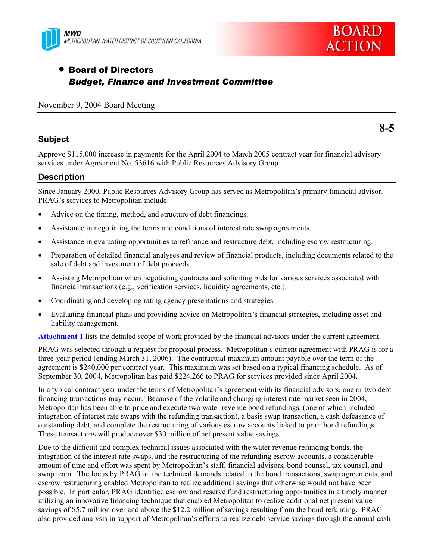



# • Board of Directors *Budget, Finance and Investment Committee*

November 9, 2004 Board Meeting

#### **Subject**

Approve \$115,000 increase in payments for the April 2004 to March 2005 contract year for financial advisory services under Agreement No. 53616 with Public Resources Advisory Group

#### **Description**

Since January 2000, Public Resources Advisory Group has served as Metropolitan's primary financial advisor. PRAG's services to Metropolitan include:

- Advice on the timing, method, and structure of debt financings.
- Assistance in negotiating the terms and conditions of interest rate swap agreements.
- Assistance in evaluating opportunities to refinance and restructure debt, including escrow restructuring.
- Preparation of detailed financial analyses and review of financial products, including documents related to the sale of debt and investment of debt proceeds.
- Assisting Metropolitan when negotiating contracts and soliciting bids for various services associated with financial transactions (e.g., verification services, liquidity agreements, etc.).
- Coordinating and developing rating agency presentations and strategies.
- Evaluating financial plans and providing advice on Metropolitan's financial strategies, including asset and liability management.

**Attachment 1** lists the detailed scope of work provided by the financial advisors under the current agreement.

PRAG was selected through a request for proposal process. Metropolitan's current agreement with PRAG is for a three-year period (ending March 31, 2006). The contractual maximum amount payable over the term of the agreement is \$240,000 per contract year. This maximum was set based on a typical financing schedule. As of September 30, 2004, Metropolitan has paid \$224,266 to PRAG for services provided since April 2004.

In a typical contract year under the terms of Metropolitan's agreement with its financial advisors, one or two debt financing transactions may occur. Because of the volatile and changing interest rate market seen in 2004, Metropolitan has been able to price and execute two water revenue bond refundings, (one of which included integration of interest rate swaps with the refunding transaction), a basis swap transaction, a cash defeasance of outstanding debt, and complete the restructuring of various escrow accounts linked to prior bond refundings. These transactions will produce over \$30 million of net present value savings.

Due to the difficult and complex technical issues associated with the water revenue refunding bonds, the integration of the interest rate swaps, and the restructuring of the refunding escrow accounts, a considerable amount of time and effort was spent by Metropolitan's staff, financial advisors, bond counsel, tax counsel, and swap team. The focus by PRAG on the technical demands related to the bond transactions, swap agreements, and escrow restructuring enabled Metropolitan to realize additional savings that otherwise would not have been possible. In particular, PRAG identified escrow and reserve fund restructuring opportunities in a timely manner utilizing an innovative financing technique that enabled Metropolitan to realize additional net present value savings of \$5.7 million over and above the \$12.2 million of savings resulting from the bond refunding. PRAG also provided analysis in support of Metropolitan's efforts to realize debt service savings through the annual cash

**8-5**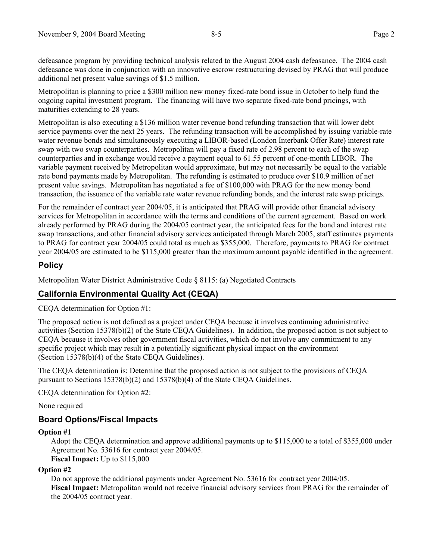defeasance program by providing technical analysis related to the August 2004 cash defeasance. The 2004 cash defeasance was done in conjunction with an innovative escrow restructuring devised by PRAG that will produce additional net present value savings of \$1.5 million.

Metropolitan is planning to price a \$300 million new money fixed-rate bond issue in October to help fund the ongoing capital investment program. The financing will have two separate fixed-rate bond pricings, with maturities extending to 28 years.

Metropolitan is also executing a \$136 million water revenue bond refunding transaction that will lower debt service payments over the next 25 years. The refunding transaction will be accomplished by issuing variable-rate water revenue bonds and simultaneously executing a LIBOR-based (London Interbank Offer Rate) interest rate swap with two swap counterparties. Metropolitan will pay a fixed rate of 2.98 percent to each of the swap counterparties and in exchange would receive a payment equal to 61.55 percent of one-month LIBOR. The variable payment received by Metropolitan would approximate, but may not necessarily be equal to the variable rate bond payments made by Metropolitan. The refunding is estimated to produce over \$10.9 million of net present value savings. Metropolitan has negotiated a fee of \$100,000 with PRAG for the new money bond transaction, the issuance of the variable rate water revenue refunding bonds, and the interest rate swap pricings.

For the remainder of contract year 2004/05, it is anticipated that PRAG will provide other financial advisory services for Metropolitan in accordance with the terms and conditions of the current agreement. Based on work already performed by PRAG during the 2004/05 contract year, the anticipated fees for the bond and interest rate swap transactions, and other financial advisory services anticipated through March 2005, staff estimates payments to PRAG for contract year 2004/05 could total as much as \$355,000. Therefore, payments to PRAG for contract year 2004/05 are estimated to be \$115,000 greater than the maximum amount payable identified in the agreement.

## **Policy**

Metropolitan Water District Administrative Code § 8115: (a) Negotiated Contracts

# **California Environmental Quality Act (CEQA)**

CEQA determination for Option #1:

The proposed action is not defined as a project under CEQA because it involves continuing administrative activities (Section 15378(b)(2) of the State CEQA Guidelines). In addition, the proposed action is not subject to CEQA because it involves other government fiscal activities, which do not involve any commitment to any specific project which may result in a potentially significant physical impact on the environment (Section 15378(b)(4) of the State CEQA Guidelines).

The CEQA determination is: Determine that the proposed action is not subject to the provisions of CEQA pursuant to Sections 15378(b)(2) and 15378(b)(4) of the State CEQA Guidelines.

CEQA determination for Option #2:

None required

## **Board Options/Fiscal Impacts**

#### **Option #1**

Adopt the CEQA determination and approve additional payments up to \$115,000 to a total of \$355,000 under Agreement No. 53616 for contract year 2004/05.

**Fiscal Impact:** Up to \$115,000

#### **Option #2**

Do not approve the additional payments under Agreement No. 53616 for contract year 2004/05. **Fiscal Impact:** Metropolitan would not receive financial advisory services from PRAG for the remainder of the 2004/05 contract year.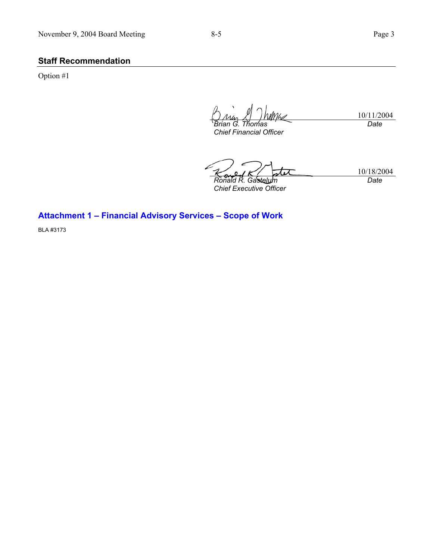## **Staff Recommendation**

Option #1

10/11/2004 Mhs *Brian G. Thomas Date* 

*Chief Financial Officer* 

10/18/2004 *Ronald R. Gastelum Chief Executive Officer Date* 

**Attachment 1 – Financial Advisory Services – Scope of Work** 

BLA #3173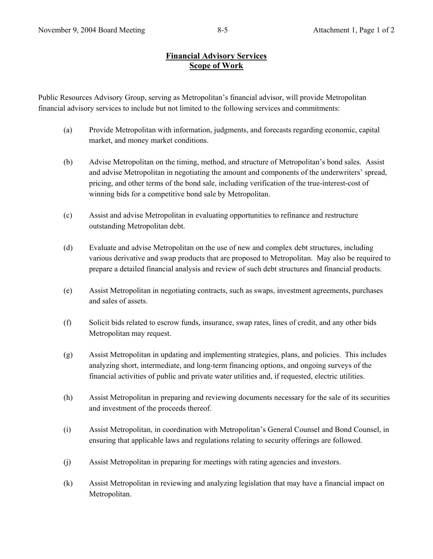#### **Financial Advisory Services Scope of Work**

Public Resources Advisory Group, serving as Metropolitan's financial advisor, will provide Metropolitan financial advisory services to include but not limited to the following services and commitments:

- (a) Provide Metropolitan with information, judgments, and forecasts regarding economic, capital market, and money market conditions.
- (b) Advise Metropolitan on the timing, method, and structure of Metropolitan's bond sales. Assist and advise Metropolitan in negotiating the amount and components of the underwriters' spread, pricing, and other terms of the bond sale, including verification of the true-interest-cost of winning bids for a competitive bond sale by Metropolitan.
- (c) Assist and advise Metropolitan in evaluating opportunities to refinance and restructure outstanding Metropolitan debt.
- (d) Evaluate and advise Metropolitan on the use of new and complex debt structures, including various derivative and swap products that are proposed to Metropolitan. May also be required to prepare a detailed financial analysis and review of such debt structures and financial products.
- (e) Assist Metropolitan in negotiating contracts, such as swaps, investment agreements, purchases and sales of assets.
- (f) Solicit bids related to escrow funds, insurance, swap rates, lines of credit, and any other bids Metropolitan may request.
- (g) Assist Metropolitan in updating and implementing strategies, plans, and policies. This includes analyzing short, intermediate, and long-term financing options, and ongoing surveys of the financial activities of public and private water utilities and, if requested, electric utilities.
- (h) Assist Metropolitan in preparing and reviewing documents necessary for the sale of its securities and investment of the proceeds thereof.
- (i) Assist Metropolitan, in coordination with Metropolitan's General Counsel and Bond Counsel, in ensuring that applicable laws and regulations relating to security offerings are followed.
- (j) Assist Metropolitan in preparing for meetings with rating agencies and investors.
- (k) Assist Metropolitan in reviewing and analyzing legislation that may have a financial impact on Metropolitan.